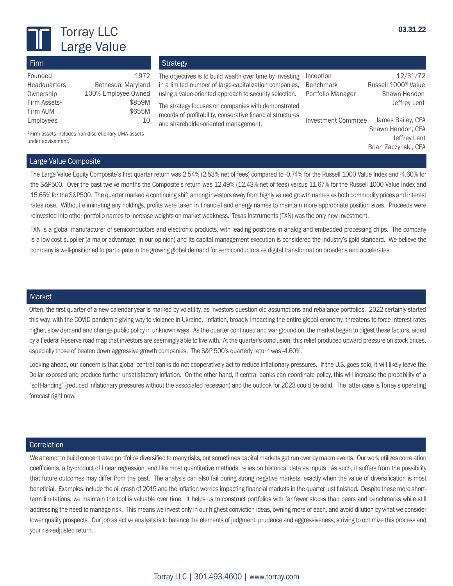

Firm Founded Headquarters

Firm Assets<sup>1</sup> Firm AUM Employees

### 03.31.22

# **Strategy**

1972

\$859M \$655M 10

Bethesda, Maryland

The objectives is to build wealth over time by investing Inception in a limited number of large-capitalization companies, Benchmark using a value-oriented approach to security selection.

The strategy focuses on companies with demonstrated records of profitability, conserative financial structures and shareholder-oriented management.

Inception 12/31/72 Russell 1000<sup>®</sup> Value Portfolio Manager Shawn Hendon Jeffrey Lent

Investment Commitee James Bailey, CFA Shawn Hendon, CFA Jeffrey Lent Brian Zaczynski, CFA

1 Firm assets includes non-discretionary UMA assets under advisement.

Ownership 100% Employee Owned

# Large Value Composite

The Large Value Equity Composite's first quarter return was 2.54% (2.53% net of fees) compared to -0.74% for the Russell 1000 Value Index and -4.60% for the S&P500. Over the past twelve months the Composite's return was 12.49% (12.43% net of fees) versus 11.67% for the Russell 1000 Value Index and 15.65% for the S&P500. The quarter marked a continuing shift among investors away from highly valued growth names as both commodity prices and interest rates rose. Without eliminating any holdings, profits were taken in financial and energy names to maintain more appropriate position sizes. Proceeds were reinvested into other portfolio names to increase weights on market weakness. Texas Instruments (TXN) was the only new investment.

TXN is a global manufacturer of semiconductors and electronic products, with leading positions in analog and embedded processing chips. The company is a low-cost supplier (a major advantage, in our opinion) and its capital management execution is considered the industry's gold standard. We believe the company is well-positioned to participate in the growing global demand for semiconductors as digital transformation broadens and accelerates.

## Market

Often, the first quarter of a new calendar year is marked by volatility, as investors question old assumptions and rebalance portfolios. 2022 certainly started this way, with the COVID pandemic giving way to violence in Ukraine. Inflation, broadly impacting the entire global economy, threatens to force interest rates higher, slow demand and change public policy in unknown ways. As the quarter continued and war ground on, the market began to digest these factors, aided by a Federal Reserve road map that investors are seemingly able to live with. At the quarter's conclusion, this relief produced upward pressure on stock prices, especially those of beaten down aggressive growth companies. The S&P 500's quarterly return was -4.60%.

Looking ahead, our concern is that global central banks do not cooperatively act to reduce inflationary pressures. If the U.S. goes solo, it will likely leave the Dollar exposed and produce further unsatisfactory inflation. On the other hand, if central banks can coordinate policy, this will increase the probability of a "soft-landing" (reduced inflationary pressures without the associated recession) and the outlook for 2023 could be solid. The latter case is Torray's operating forecast right now.

#### **Correlation**

We attempt to build concentrated portfolios diversified to many risks, but sometimes capital markets get run over by macro events. Our work utilizes correlation coefficients, a by-product of linear regression, and like most quantitative methods, relies on historical data as inputs. As such, it suffers from the possibility that future outcomes may differ from the past. The analysis can also fail during strong negative markets, exactly when the value of diversification is most beneficial. Examples include the oil crash of 2015 and the inflation worries impacting financial markets in the quarter just finished. Despite these more shortterm limitations, we maintain the tool is valuable over time. It helps us to construct portfolios with far fewer stocks than peers and benchmarks while still addressing the need to manage risk. This means we invest only in our highest conviction ideas, owning more of each, and avoid dilution by what we consider lower quality prospects. Our job as active analysts is to balance the elements of judgment, prudence and aggressiveness, striving to optimize this process and your risk-adjusted return.